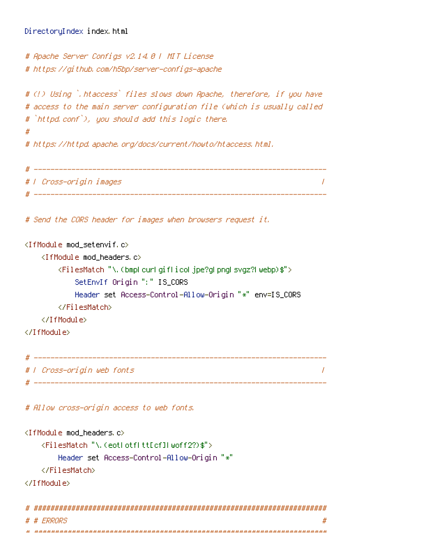```
# Apache Server Configs v2.14.0 | MIT License
# https://github.com/h5bp/server-configs-apache
# (!) Using `.htaccess` files slows down Apache, therefore, if you have
# access to the main server configuration file (which is usually called
# `httpd.conf`), you should add this logic there.
#
# https://httpd.apache.org/docs/current/howto/htaccess.html.
# ----------------------------------------------------------------------
# | Cross-origin images |
# ----------------------------------------------------------------------
# Send the CORS header for images when browsers request it.
<IfModule mod_setenvif.c>
   <IfModule mod_headers.c>
       <FilesMatch "\.(bmp|cur|gif|ico|jpe?g|png|svgz?|webp)$">
           SetEnvIf Origin ":" IS_CORS
           Header set Access-Control-Allow-Origin "*" env=IS_CORS
       </FilesMatch>
   </IfModule>
</IfModule>
```
# ---------------------------------------------------------------------- # | Cross-origin web fonts | # ----------------------------------------------------------------------

# Allow cross-origin access to web fonts.

```
<IfModule mod_headers.c>
    <FilesMatch "\.(eot|otf|tt[cf]|woff2?)$">
        Header set Access-Control-Allow-Origin "*"
    </FilesMatch>
</IfModule>
 # ######################################################################
```
# # ERRORS #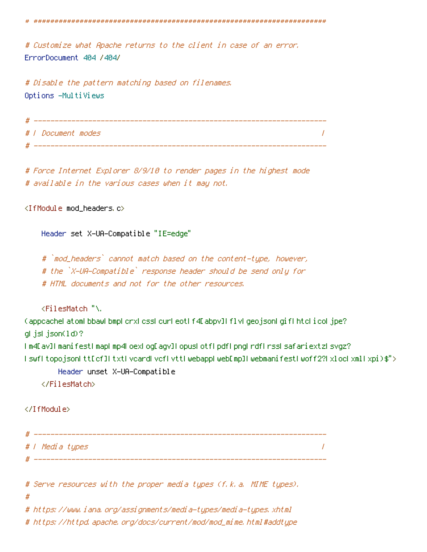# ######################################################################

# Customize what Apache returns to the client in case of an error. ErrorDocument 404 /404/

# Disable the pattern matching based on filenames. Options -MultiViews

```
# ----------------------------------------------------------------------
# | Document modes |
# ----------------------------------------------------------------------
```
# Force Internet Explorer 8/9/10 to render pages in the highest mode # available in the various cases when it may not.

<IfModule mod\_headers.c>

Header set X-UA-Compatible "IE=edge"

# `mod\_headers` cannot match based on the content-type, however, # the `X-UA-Compatible` response header should be send only for # HTML documents and not for the other resources.

<FilesMatch "\.

(appcache|atom|bbaw|bmp|crx|css|cur|eot|f4[abpv]|flv|geojson|gif|htc|ico|jpe? g|js|json(ld)?

|m4[av]|manifest|map|mp4|oex|og[agv]|opus|otf|pdf|png|rdf|rss|safariextz|svgz? |swf|topojson|tt[cf]|txt|vcard|vcf|vtt|webapp|web[mp]|webmanifest|woff2?|xloc|xml|xpi)\$">

Header unset X-UA-Compatible

</FilesMatch>

#### </IfModule>

| н |                 |  |
|---|-----------------|--|
|   | # / Media types |  |
|   |                 |  |

# Serve resources with the proper media types (f.k.a. MIME types).

#

# https://www.iana.org/assignments/media-types/media-types.xhtml

# https://httpd.apache.org/docs/current/mod/mod\_mime.html#addtype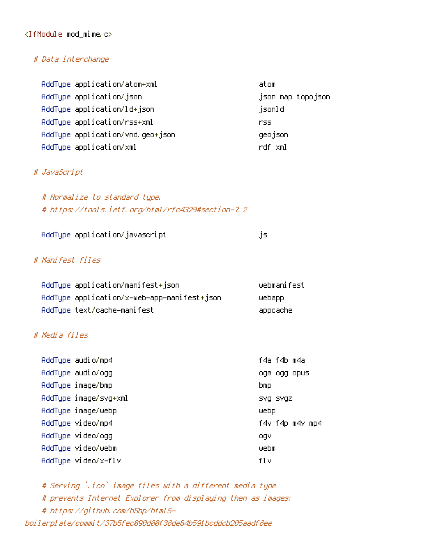#### <IfModule mod\_mime.c>

#### # Data interchange

| AddType application/atom+xml     | atom              |
|----------------------------------|-------------------|
| AddType application/json         | json map topojson |
| AddType application/ld+json      | jsonld            |
| AddType application/rss+xml      | rss               |
| AddType application/vnd.geo+json | geojson           |
| AddType application/xml          | rdf xml           |

#### # JavaScript

# Normalize to standard type. # https://tools.ietf.org/html/rfc4329#section-7.2

| AddType application/javascript |  |
|--------------------------------|--|
|                                |  |

## # Manifest files

| AddTupe application/manifest+json           | webmanifest |
|---------------------------------------------|-------------|
| AddTupe application/x-web-app-manifest+json | webapp.     |
| AddType text/cache-manifest                 | appcache    |

## # Media files

| AddType audio/mp4     | f4a f4b m4a     |
|-----------------------|-----------------|
| AddType audio/ogg     | oga ogg opus    |
| AddType image/bmp     | bmp             |
| AddType image/svg+xml | SVQ SVQZ        |
| AddTupe image/webp    | webp            |
| AddTupe video/mp4     | f4v f4p m4v mp4 |
| AddType video/ogg     | ogv             |
| AddTupe video/webm    | webm            |
| AddTupe video/x-flv   | f1v             |

# Serving `.ico` image files with <sup>a</sup> different media type # prevents Internet Explorer from displaying then as images: # https://github.com/h5bp/html5 boilerplate/commit/37b5fec090d00f38de64b591bcddcb205aadf8ee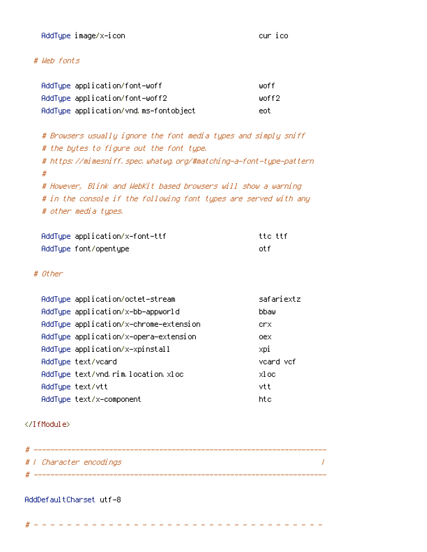AddType image/x-icon cur icon cur icon cur ico

## # Web fonts

| AddType application/font-woff         | liinf f |
|---------------------------------------|---------|
| AddTupe application/font-woff2        | unff2   |
| AddType application/vnd.ms-fontobject | eot.    |

# Browsers usually ignore the font media types and simply sniff # the bytes to figure out the font type. # https://mimesniff.spec.whatwg.org/#matching-a-font-type-pattern # # However, Blink and WebKit based browsers will show <sup>a</sup> warning # in the console if the following font types are served with any # other media types.

| AddTupe application/x-font-ttf | tto ttf. |
|--------------------------------|----------|
| AddType font/opentype          | nt fi    |

## # Other

| AddType application/octet-stream       | safariextz |
|----------------------------------------|------------|
| AddTupe application/x-bb-appworld      | hhau       |
| AddType application/x-chrome-extension | crx        |
| AddType application/x-opera-extension  | oex        |
| AddType application/x-xpinstall        | xpi        |
| AddType text/vcard                     | veard vef  |
| AddType text/vnd.rim.location.xloc     | xl oc      |
| AddTupe text/vtt                       | vtt        |
| AddTupe text/x-component               | ht e       |

#### </IfModule>

| # / Character encodings |  |
|-------------------------|--|
|                         |  |

#### AddDefaultCharset utf-8

# - - - - - - - - - - - - - - - - - - - - - - - - - - - - - - - - - - -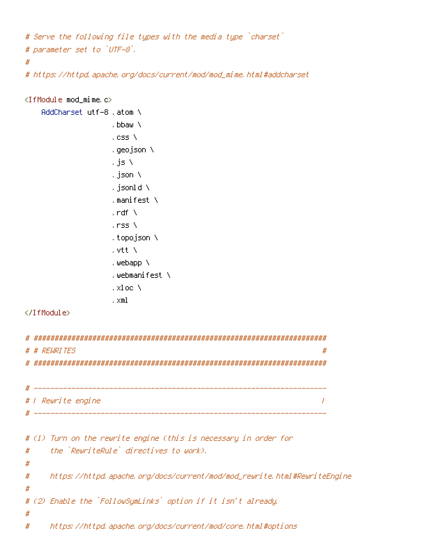```
# Serve the following file types with the media type `charset`
# parameter set to `UTF-8`.
#
```
# https://httpd.apache.org/docs/current/mod/mod\_mime.html#addcharset

```
<IfModule mod_mime.c>
   AddCharset utf-8 .atom \
                   .bbaw \
                   .css \
                   .geojson \
                   .js \
                   .json \
                   .jsonld \
                   .manifest \
                   . \mathsf{rdf} \setminus.rss \
                   .topojson \
                   .vtt \
                   .webapp \
                   .webmanifest \
                   .xloc \
                   .xml
</IfModule>
# ######################################################################
# # REWRITES #
# ######################################################################
 # ----------------------------------------------------------------------
# | Rewrite engine |
 # ----------------------------------------------------------------------
# (1) Turn on the rewrite engine (this is necessary in order for
# the `RewriteRule` directives to work).
#
# https://httpd.apache.org/docs/current/mod/mod_rewrite.html#RewriteEngine
#
# (2) Enable the `FollowSymLinks` option if it isn't already.
#
# https://httpd.apache.org/docs/current/mod/core.html#options
```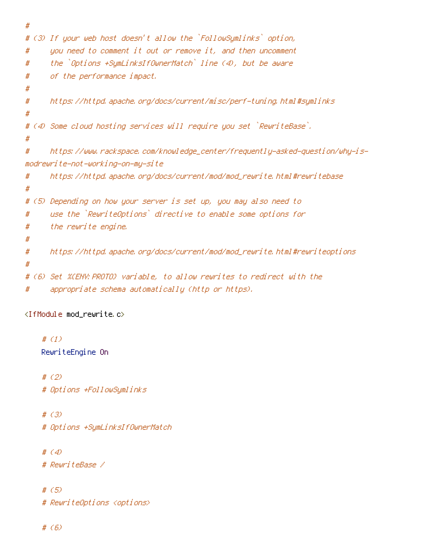```
#
# (3) If your web host doesn't allow the `FollowSymlinks` option,
# you need to comment it out or remove it, and then uncomment
# the `Options +SymLinksIfOwnerMatch` line (4), but be aware
# of the performance impact.
#
# https://httpd.apache.org/docs/current/misc/perf-tuning.html#symlinks
#
# (4) Some cloud hosting services will require you set `RewriteBase`.
#
# https://www.rackspace.com/knowledge_center/frequently-asked-question/why-is-
modrewrite-not-working-on-my-site
# https://httpd.apache.org/docs/current/mod/mod_rewrite.html#rewritebase
#
# (5) Depending on how your server is set up, you may also need to
# use the `RewriteOptions` directive to enable some options for
# the rewrite engine.
#
# https://httpd.apache.org/docs/current/mod/mod_rewrite.html#rewriteoptions
#
# (6) Set %{ENV:PROTO} variable, to allow rewrites to redirect with the
# appropriate schema automatically (http or https).
```

```
<IfModule mod_rewrite.c>
```
# (1) RewriteEngine On

# (2) # Options +FollowSymlinks

# (3) # Options +SymLinksIfOwnerMatch

# (4)

# RewriteBase /

# (5) # RewriteOptions <options>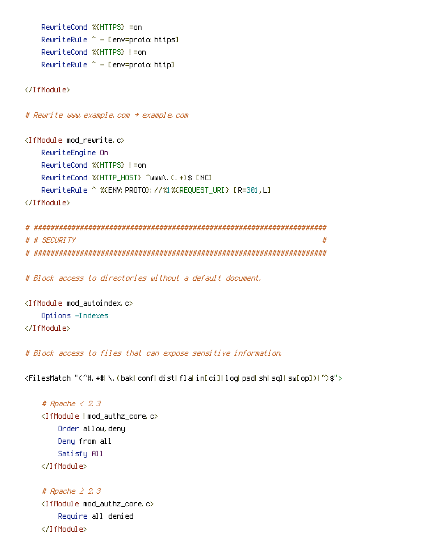```
RewriteCond %{HTTPS} =on
RewriteRule ^{\wedge} - [env=proto:https]
RewriteCond %{HTTPS} !=on
RewriteRule ^{\sim} – [env=proto:http]
```
</IfModule>

# Rewrite www.example.com <sup>→</sup> example.com

<IfModule mod\_rewrite.c> RewriteEngine On RewriteCond %{HTTPS} !=on RewriteCond %{HTTP\_HOST} ^www\.(.+)\$ [NC] RewriteRule ^ %{ENV: PROTO}: //%1%{REQUEST\_URI} [R=301,L]

```
</IfModule>
```

```
# ######################################################################
# # SECURITY #
# ######################################################################
```
# Block access to directories without <sup>a</sup> default document.

```
<IfModule mod_autoindex.c>
    Options -Indexes
</IfModule>
```
# Block access to files that can expose sensitive information.

<FilesMatch "(^#.\*#|\.(bak|conf|dist|fla|in[ci]|log|psd|sh|sql|sw[op])|~)\$">

```
# Apache < 2.3
<IfModule !mod_authz_core.c>
    Order allow,deny
    Deny from all
   Satisfy All
</IfModule>
```

```
# Apache ≥ 2.3
<IfModule mod_authz_core.c>
   Require all denied
</IfModule>
```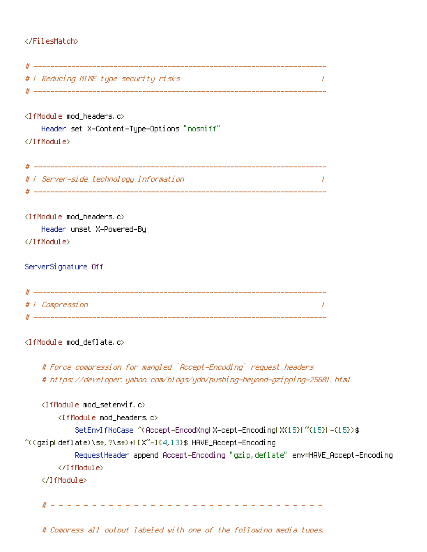# </FilesMatch>

| #   Reducing MIME type security risks                                                   |  |
|-----------------------------------------------------------------------------------------|--|
|                                                                                         |  |
| <ifmodule mod_headers.c=""></ifmodule>                                                  |  |
| Header set X-Content-Type-Options "nosniff"<br>                                         |  |
|                                                                                         |  |
| #   Server-side technology information                                                  |  |
| <ifmodule mod_headers.c=""></ifmodule>                                                  |  |
| Header unset X-Powered-By                                                               |  |
|                                                                                         |  |
| ServerSignature Off                                                                     |  |
|                                                                                         |  |
| # / Compression                                                                         |  |
|                                                                                         |  |
| <ifmodule mod_deflate.c=""></ifmodule>                                                  |  |
| # Force compression for mangled `Accept-Encoding` request headers                       |  |
| # https://developer.yahoo.com/blogs/ydn/pushing-beyond-gzipping-25601.html              |  |
| <ifmodule mod_setenvif.c=""></ifmodule>                                                 |  |
| <ifmodule mod_headers.c=""></ifmodule>                                                  |  |
| SetEnvIfNoCase ^(Accept-EncodXngl X-cept-Encodingl X(15)1 ^(15)1-(15)) \$               |  |
| ^((gzipLdeflate)\s*,?\s*)+LEX~-I{4,13}\$                           HAVE_Accept-Encoding |  |
| RequestHeader append Accept-Encoding "gzip, deflate" env=HAVE_Accept-Encoding           |  |
|                                                                                         |  |
|                                                                                         |  |
| <u> 222222222222</u>                                                                    |  |
|                                                                                         |  |

# Compress all output labeled with one of the following media tupes.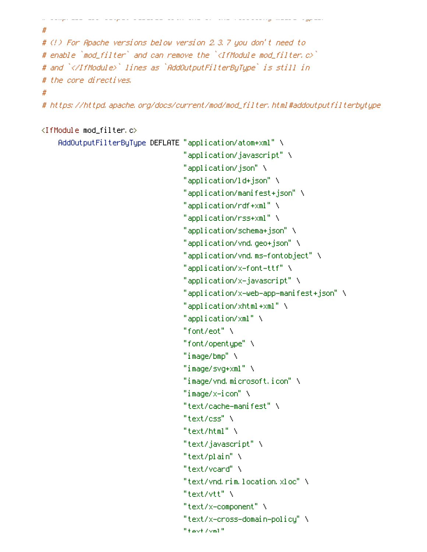```
#
# (!) For Apache versions below version 2.3.7 you don't need to
# enable `mod_filter` and can remove the `<IfModule mod_filter.c>`
# and `</IfModule>` lines as `AddOutputFilterByType` is still in
# the core directives.
#
# https://httpd.apache.org/docs/current/mod/mod_filter.html#addoutputfilterbytype
```
# Compress all output labeled with one of the following media types.

#### <IfModule mod\_filter.c>

```
AddOutputFilterByType DEFLATE "application/atom+xml" \
                              "application/javascript" \
                              "application/json" \
                              "application/ld+json" \
                              "application/manifest+json" \
                              "application/rdf+xml" \
                              "application/rss+xml" \
                              "application/schema+json" \
                              "application/vnd.geo+json" \
                              "application/vnd.ms-fontobject" \
                              "application/x-font-ttf" \
                              "application/x-javascript" \
                              "application/x-web-app-manifest+json" \
                              "application/xhtml+xml" \
                              "application/xml" \
                              "font/eot" \
                              "font/opentype" \
                              "image/bmp" \
                              "image/svg+xml" \
                              "image/vnd.microsoft.icon" \
                              "image/x-icon" \
                              "text/cache-manifest" \
                              "text/css" \
                              "text/html" \
                              "text/javascript" \
                              "text/plain" \
                              "text/vcard" \
                              "text/vnd.rim.location.xloc" \
                              "text/vtt" \
                              "text/x-component" \
                              "text/x-cross-domain-policy" \
                              "text/xml"
```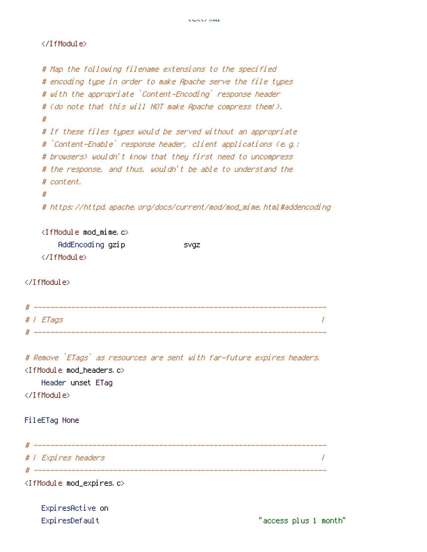## </IfModule>

| # Map the following filename extensions to the specified                |
|-------------------------------------------------------------------------|
| # encoding type in order to make Apache serve the file types            |
| # with the appropriate `Content-Encoding` response header               |
| # (do note that this will NOT make Apache compress them!).              |
| #                                                                       |
| # If these files types would be served without an appropriate           |
| # `Content-Enable` response header, client applications (e.g.:          |
| # browsers) wouldn't know that they first need to uncompress            |
| # the response, and thus, wouldn't be able to understand the            |
| # content.                                                              |
| #                                                                       |
| # https://httpd.apache.org/docs/current/mod/mod_mime.html#addencoding   |
|                                                                         |
| $\langle$ IfModule mod mime.c $\rangle$                                 |
| AddEncoding gzip<br><b>SVQZ</b>                                         |
|                                                                         |
|                                                                         |
|                                                                         |
|                                                                         |
|                                                                         |
| #   ETags                                                               |
|                                                                         |
|                                                                         |
| # Remove `ETags` as resources are sent with far-future expires headers. |
| <ifmodule mod_headers.c=""></ifmodule>                                  |
| Header unset ETag                                                       |
|                                                                         |
|                                                                         |
| FileETag None                                                           |
|                                                                         |
|                                                                         |
| #   Expires headers                                                     |
|                                                                         |
| <ifmodule mod_expires.c=""></ifmodule>                                  |
|                                                                         |
| ExpiresActive on                                                        |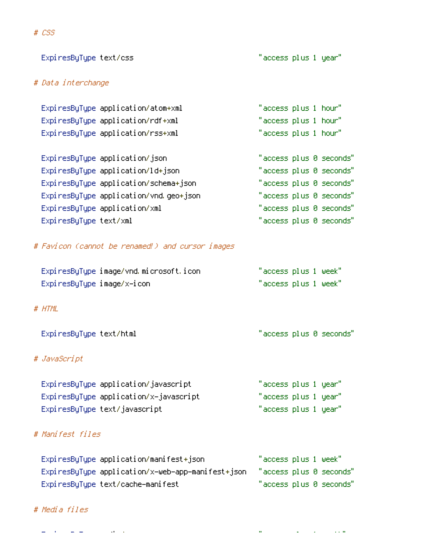| # Data interchange         |                                                   |                      |  |                         |
|----------------------------|---------------------------------------------------|----------------------|--|-------------------------|
|                            | ExpiresByType application/atom+xml                | "access plus 1 hour" |  |                         |
|                            | ExpiresByType application/rdf+xml                 | "access plus 1 hour" |  |                         |
|                            | ExpiresByType application/rss+xml                 | "access plus 1 hour" |  |                         |
|                            | ExpiresByType application/json                    |                      |  | "access plus 0 seconds" |
|                            | ExpiresByType application/ld+json                 |                      |  | "access plus 0 seconds" |
|                            | ExpiresByType application/schema+json             |                      |  | "access plus 0 seconds" |
|                            | ExpiresByType application/vnd.geo+json            |                      |  | "access plus 0 seconds" |
|                            | ExpiresByType application/xml                     |                      |  | "access plus 0 seconds" |
| ExpiresByType text/xml     |                                                   |                      |  | "access plus 0 seconds" |
|                            | # Favicon (cannot be renamed!) and cursor images  |                      |  |                         |
|                            | ExpiresByType image/vnd.microsoft.icon            | "access plus 1 week" |  |                         |
| ExpiresByType image/x-icon |                                                   | "access plus 1 week" |  |                         |
| # HTML                     |                                                   |                      |  |                         |
| ExpiresByType text/html    |                                                   |                      |  | "access plus 0 seconds" |
| # JavaScript               |                                                   |                      |  |                         |
|                            | ExpiresByType application/javascript              | "access plus 1 year" |  |                         |
|                            | ExpiresByType application/x-javascript            | "access plus 1 year" |  |                         |
|                            | ExpiresByType text/javascript                     | "access plus 1 year" |  |                         |
| # Manifest files           |                                                   |                      |  |                         |
|                            | ExpiresByType application/manifest+json           | "access plus 1 week" |  |                         |
|                            | ExpiresByType application/x-web-app-manifest+json |                      |  | "access plus 0 seconds" |
|                            | ExpiresByType text/cache-manifest                 |                      |  | "access plus 0 seconds" |

ExpiresByType text/css "access plus 1 year"

# # Media files